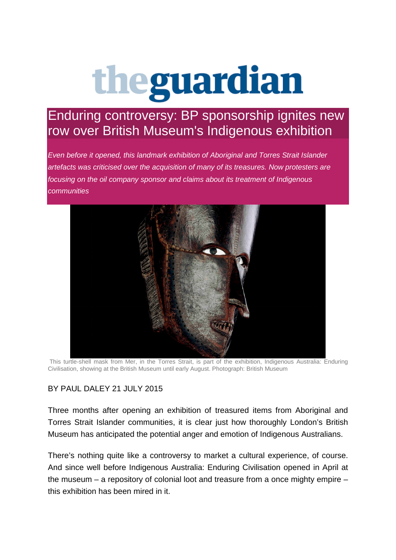## theguardian

## Enduring controversy: BP sponsorship ignites new row over British Museum's Indigenous exhibition

*Even before it opened, this landmark exhibition of Aboriginal and Torres Strait Islander artefacts was criticised over the acquisition of many of its treasures. Now protesters are focusing on the oil company sponsor and claims about its treatment of Indigenous communities*



This turtle-shell mask from Mer, in the Torres Strait, is part of the exhibition, Indigenous Australia: Enduring Civilisation, showing at the British Museum until early August. Photograph: British Museum

## BY PAUL DALEY 21 JULY 2015

Three months after opening an exhibition of treasured items from Aboriginal and Torres Strait Islander communities, it is clear just how thoroughly London's British Museum has anticipated the potential anger and emotion of Indigenous Australians.

There's nothing quite like a controversy to market a cultural experience, of course. And since well before Indigenous Australia: Enduring Civilisation opened in April at the museum – a repository of colonial loot and treasure from a once mighty empire – this exhibition has been mired in it.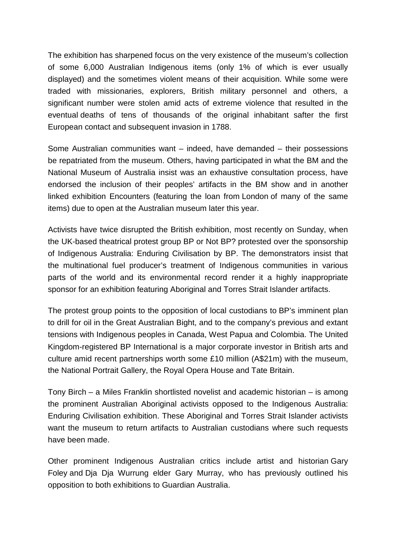The exhibition has sharpened focus on the very existence of the museum's collection of some 6,000 Australian Indigenous items (only 1% of which is ever usually displayed) and the sometimes violent means of their acquisition. While some were traded with missionaries, explorers, British military personnel and others, a significant number were stolen amid acts of extreme violence that resulted in the eventual deaths of tens of thousands of the original inhabitant safter the first European contact and subsequent invasion in 1788.

Some Australian communities want – indeed, have demanded – their possessions be repatriated from the museum. Others, having participated in what the BM and the National Museum of Australia insist was an exhaustive consultation process, have endorsed the inclusion of their peoples' artifacts in the BM show and in another linked exhibition Encounters (featuring the loan from London of many of the same items) due to open at the Australian museum later this year.

Activists have twice disrupted the British exhibition, most recently on Sunday, when the UK-based theatrical protest group BP or Not BP? protested over the sponsorship of Indigenous Australia: Enduring Civilisation by BP. The demonstrators insist that the multinational fuel producer's treatment of Indigenous communities in various parts of the world and its environmental record render it a highly inappropriate sponsor for an exhibition featuring Aboriginal and Torres Strait Islander artifacts.

The protest group points to the opposition of local custodians to BP's imminent plan to drill for oil in the Great Australian Bight, and to the company's previous and extant tensions with Indigenous peoples in Canada, West Papua and Colombia. The United Kingdom-registered BP International is a major corporate investor in British arts and culture amid recent partnerships worth some £10 million (A\$21m) with the museum, the National Portrait Gallery, the Royal Opera House and Tate Britain.

Tony Birch – a Miles Franklin shortlisted novelist and academic historian – is among the prominent Australian Aboriginal activists opposed to the Indigenous Australia: Enduring Civilisation exhibition. These Aboriginal and Torres Strait Islander activists want the museum to return artifacts to Australian custodians where such requests have been made.

Other prominent Indigenous Australian critics include artist and historian Gary Foley and Dja Dja Wurrung elder Gary Murray, who has previously outlined his opposition to both exhibitions to Guardian Australia.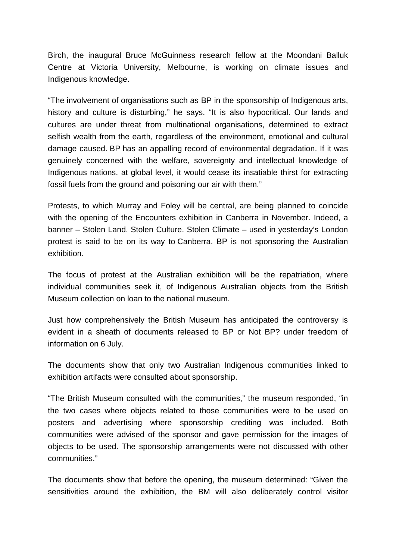Birch, the inaugural Bruce McGuinness research fellow at the Moondani Balluk Centre at Victoria University, Melbourne, is working on climate issues and Indigenous knowledge.

"The involvement of organisations such as BP in the sponsorship of Indigenous arts, history and culture is disturbing," he says. "It is also hypocritical. Our lands and cultures are under threat from multinational organisations, determined to extract selfish wealth from the earth, regardless of the environment, emotional and cultural damage caused. BP has an appalling record of environmental degradation. If it was genuinely concerned with the welfare, sovereignty and intellectual knowledge of Indigenous nations, at global level, it would cease its insatiable thirst for extracting fossil fuels from the ground and poisoning our air with them."

Protests, to which Murray and Foley will be central, are being planned to coincide with the opening of the Encounters exhibition in Canberra in November. Indeed, a banner – Stolen Land. Stolen Culture. Stolen Climate – used in yesterday's London protest is said to be on its way to Canberra. BP is not sponsoring the Australian exhibition.

The focus of protest at the Australian exhibition will be the repatriation, where individual communities seek it, of Indigenous Australian objects from the British Museum collection on loan to the national museum.

Just how comprehensively the British Museum has anticipated the controversy is evident in a sheath of documents released to BP or Not BP? under freedom of information on 6 July.

The documents show that only two Australian Indigenous communities linked to exhibition artifacts were consulted about sponsorship.

"The British Museum consulted with the communities," the museum responded, "in the two cases where objects related to those communities were to be used on posters and advertising where sponsorship crediting was included. Both communities were advised of the sponsor and gave permission for the images of objects to be used. The sponsorship arrangements were not discussed with other communities."

The documents show that before the opening, the museum determined: "Given the sensitivities around the exhibition, the BM will also deliberately control visitor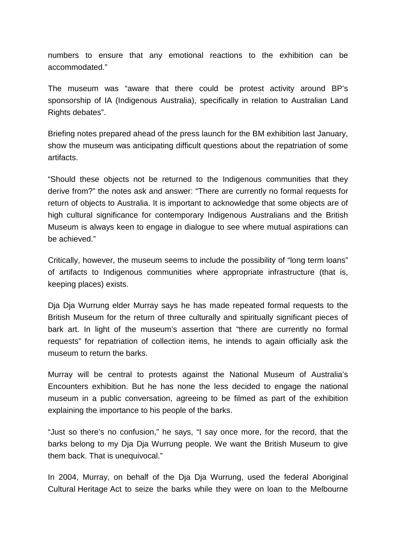numbers to ensure that any emotional reactions to the exhibition can be accommodated."

The museum was "aware that there could be protest activity around BP's sponsorship of IA (Indigenous Australia), specifically in relation to Australian Land Rights debates".

Briefing notes prepared ahead of the press launch for the BM exhibition last January, show the museum was anticipating difficult questions about the repatriation of some artifacts.

"Should these objects not be returned to the Indigenous communities that they derive from?" the notes ask and answer: "There are currently no formal requests for return of objects to Australia. It is important to acknowledge that some objects are of high cultural significance for contemporary Indigenous Australians and the British Museum is always keen to engage in dialogue to see where mutual aspirations can be achieved."

Critically, however, the museum seems to include the possibility of "long term loans" of artifacts to Indigenous communities where appropriate infrastructure (that is, keeping places) exists.

Dja Dja Wurrung elder Murray says he has made repeated formal requests to the British Museum for the return of three culturally and spiritually significant pieces of bark art. In light of the museum's assertion that "there are currently no formal requests" for repatriation of collection items, he intends to again officially ask the museum to return the barks.

Murray will be central to protests against the National Museum of Australia's Encounters exhibition. But he has none the less decided to engage the national museum in a public conversation, agreeing to be filmed as part of the exhibition explaining the importance to his people of the barks.

"Just so there's no confusion," he says, "I say once more, for the record, that the barks belong to my Dja Dja Wurrung people. We want the British Museum to give them back. That is unequivocal."

In 2004, Murray, on behalf of the Dja Dja Wurrung, used the federal Aboriginal Cultural [Heritage](http://preview.gutools.co.uk/culture/heritage) Act to seize the barks while they were on loan to the Melbourne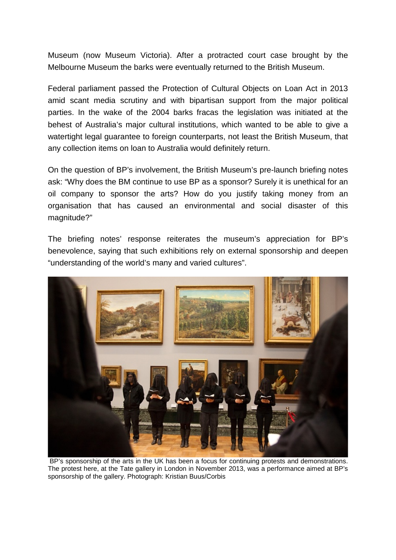Museum (now Museum Victoria). After a protracted court case brought by the Melbourne Museum the barks were eventually returned to the British Museum.

Federal parliament passed the Protection of Cultural Objects on Loan Act in 2013 amid scant media scrutiny and with bipartisan support from the major political parties. In the wake of the 2004 barks fracas the legislation was initiated at the behest of Australia's major cultural institutions, which wanted to be able to give a watertight legal guarantee to foreign counterparts, not least the British Museum, that any collection items on loan to Australia would definitely return.

On the question of BP's involvement, the British Museum's pre-launch briefing notes ask: "Why does the BM continue to use BP as a sponsor? Surely it is unethical for an oil company to sponsor the arts? How do you justify taking money from an organisation that has caused an environmental and social disaster of this magnitude?"

The briefing notes' response reiterates the museum's appreciation for BP's benevolence, saying that such exhibitions rely on external sponsorship and deepen "understanding of the world's many and varied cultures".



BP's sponsorship of the arts in the UK has been a focus for continuing protests and demonstrations. The protest here, at the Tate gallery in London in November 2013, was a performance aimed at BP's sponsorship of the gallery. Photograph: Kristian Buus/Corbis